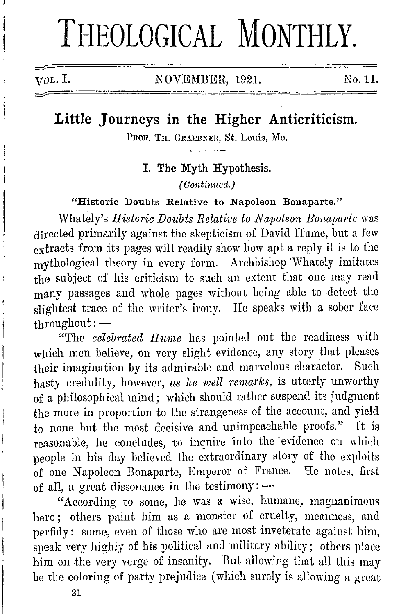# **THEOLOGICAL MONTHLY.**

VOL. I. NOVEMBER, 1921. No. 11.

# **Little Journeys in the Higher Anticriticism.**

PROF. TH. GRAEBNER, St. Louis, Mo.

I. **The Myth Hypothesis.** 

*( Continued.)* 

**"Historic Doubts Relative to Napoleon Bonaparte."** 

Whately's *Historic Doubts Relative to Napoleon Bonaparte* was directed primarily against the skepticism of David Hume, but a few  $ext{exists}$  from its pages will readily show how apt a reply it is to the mythological theory in every form. Archbishop 'Whately imitates the subject of his criticism to such an extent that one may read many passages and whole pages without being able to detect tho slightest trace of the writer's irony. He speaks with a sober face  $t$ hroughout: $-$ 

"The *celebrated Hume* has pointed out the readiness with which men believe, on very slight evidence, any story that pleases their imagination by its admirable and marvelous character. Such hasty credulity, however, *as he well remarks,* is utterly unworthy of a philosophical mind; which should rather suspend its judgment the more in proportion to the strangeness of the account, and yield to none but the most decisive and unimpeachable proofs." It is reasonable, he concludes, to inquire into the evidence on which people in his day believed the extraordinary story of the exploits of one Napoleon Bonaparte, Emperor of France. He notes, first of all, a great dissonance in the testimony:  $-$ 

"According to some, he was a wise, humane, magnanimous hero; others paint him as a monster of cruelty, meanness, and perfidy: some, even of those who arc most inveterate against him, speak very highly of his political and military ability; others place him on the very verge of insanity. But allowing that all this may be the coloring of party prejudice (which surely is allowing a great

**21**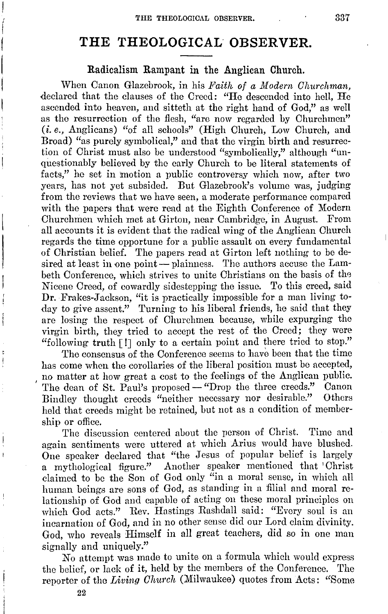$\vert$ ( I

 $\vert$  $\vert$ 

# **THE THEOLOGICAL OBSERVER.**

#### Radicalism Rampant in the Anglican Church.

When Canon Glazebrook, in his *Faith of a Modern Churchman*, declared that the clauses of the Creed: "He descended into hell, He ascended into heaven, and sitteth at the right hand of God," as well as the resurrection of the flesh, "arc now regarded by Churchmen" (i.e., Anglicans) ''of all schools" (High Church, Low Church, and Broad) "as purely symbolical," and that the virgin birth and resurrection of Christ must also be understood "symbolically," although "unquestionably believed by the early Church to be literal statements of facts," he set in motion a public controversy which now, after two years, has not yet subsided. But Glazebrook's volume was, judging from the reviews that we have seen, a moderate performance compared with the papers that were read at the Eighth Conference of Modern Churchmen which met at Girton, near Cambridge, in August. From all accounts it is evident that the radical wing of the Anglican Church regards the time opportune for a public assault on every fundamental of Christian belief. The papers read at Girton left nothing to be desired at least in one point - plainness. The authors accuse the Lambeth Conference, which strives to unite Christians on the basis of the Nicene Creed, of cowardly sidestepping the issue. To this creed, said **Dr.** Frakes-Jackson, "it is practically impossible for a man living today to give assent." Turning to his liberal friends, he said that they are losing the respect of Churchmen because, while expurging the virgin birth, they tried to accept the rest of the Creed; they were "following truth [ !] only to a certain point and there tried to stop."

The consensus of the Conference seems to have been that the time has come when the corollaries of the liberal position must be accepted, no matter at how great a cost to the feelings of the Anglican public. 1 The dean of St. Paul's proposed – "Drop the three creeds." Canon<br>Bindley thought creeds "neither necessary nor desirable." Others Bindley thought creeds "neither necessary nor desirable." held that creeds might be retained, hut not as a condition of membership or office.

The discussion centered about the person of Christ. Time and again sentiments were uttered at which Arius would have blushed. One speaker declared that "the Jesus of popular belief is largely a mythological figure." Another speaker mentioned that 'Christ claimed to be the Son of God only "in a moral sense, in which all human beings are sons of God, as standing in a filial and moral relationship of God and capable of acting on these moral principles on which God acts." Rev. Hastings Rashdall said: "Every soul is an incarnation of God, and in no other sense did our Lord claim divinity. God, who reveals Himself in all great teachers, did so in one man signally and uniquely."

*No* attempt was made to unite on a formula which would express the belief, or lack of it, held by the members of the Conference. The reporter of the *Living Church* (Milwaukee) quotes from Acts: "Some

22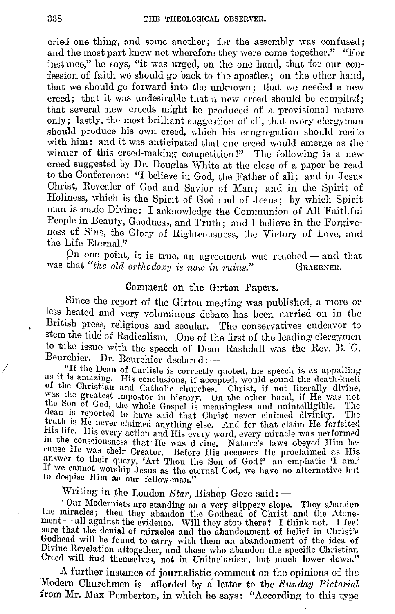cried one thing, and some another; for the assembly was confused; and the most part knew not wherefore they were come together." "For instance," he says, ''it was urged, on the one hand, that for our confession of faith we should go back to the apostles; on the other hand, that we should go forward into tho unknown; that wo needed a new creed: that it was undesirable that a new creed should be compiled; that several new creeds might be produced of a provisional nature only; lastly, the most brilliant suggestion of all, that every clergyman should produce his own creed, which his congregation should recite with him; and it was anticipated that one creed would emerge as the winner of this creed-making competition!" The following is a new creed suggested by Dr. Douglas White at tho close of a paper he read to the Conference: "I believe in God, the Father of all; and in Jesus Christ, Revealer of God and Savior of Man; and in the Spirit of Holiness, which is the Spirit of God and of Jesus; by which Spirit man is mado Divine: I acknowledge the Communion of All Faithful People in Beauty, Goodness, and Truth; and I believe in the Forgiveness of Sins, the Glory of Righteousness, the Victory of Love, and the Life Eternal."

On one point, it is true, an agreement was reached  $-$  and that was that "the old orthodoxy is now in ruins." GRAEDNER.

#### Comment on the Girton Papers.

Since the report of the Girton meeting was published, a more or less heated and very voluminous debate has been carried on in the British press, religious and secular. The conservatives endeavor to stem the tide of Radicalism. One of the first of the leading clergymen to take issue with the speech of Dean Rashdall was the Rev. D. G. Beurchier. Dr. Beurchier declared: ---<br>"If the Dean of Carlisle is correctly quoted, his speech is as appalling

If the Dean of Carlisle is correctly quoted, his speech is as appalling as it is amazing. His conclusions, if accepted, would sound the death-knell of the Christian and Catholic churches. Christ, if not literally divine, was the greatest impostor in history. On the other hand, if He was not the Son of God, the whole Gospel is meaningless and unintelligible. The dean is reported to have said that Christ never claimed divinity. The dean is reported to have said that Christ never claimed divinity. truth is He never claimed anything else. And for that claim He forfeited His life. His every action and His every word, every miracle was performed fils life. His every action and His every word, every miracle was performed<br>in the consciousness that He was divine. Nature's laws obeyed Him he-<br>cause He was their Creator. Before His accusers He proclaimed as His<br>answer If we cannot worship Jesus as the eternal God, we have no alternative lmt to despise Him as our fellow-man."

Writing in the London *Star*, Bishop Gore said: -

"Our Modernists are standing on a very slippery slope. They abandon the miracles; then they abandon the Godhead of Christ and the Atonement - all against the evidence. Will they stop there? I think not. I feel sure that the denial of miracles and the abandonment of belief in Christ's sure that the denial of miracles and the abandonment of belief in Christ's Godhead will be found to carry with them an abandonment of the idea of Divine Revelation altogether, and those who abandon the specific Christian Creed will find themselves, not in Unitarianism, but much lower down."

A further instance of journalistic comment on the opinions of the Modern Churchmen is afforded by a letter to the *Sunday Pictorial*  from Mr. Max Pemberton, in which he says: "According to this type·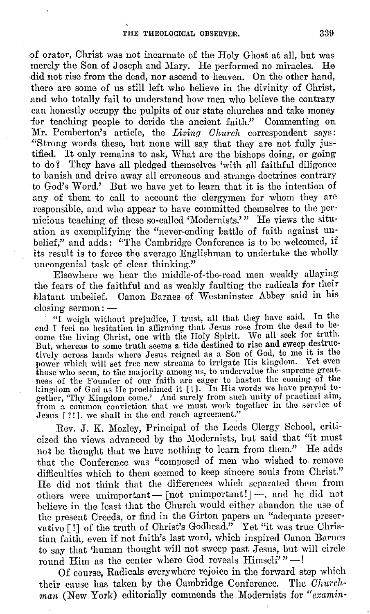,of orator, Christ was not incarnate of the Holy Ghost at all, but was merely the Son of Joseph and Mary. He performed no miracles. He **,did** not rise from the dead, nor ascend to heaven. On the other hand, there are some of us still left who believe in the divinity of Christ, and who totally fail to understand how men who believe the contrary can honestly occupy the pulpits of our state churches and take money for teaching people to deride the ancient faith." Commenting on **Mr.** Pemberton's article, the *Living Church* correspondent says: "Strong words these, but none will say that they are not fully justified. It only remains to ask, What are the bishops doing, or going to do? They have all pledged themselves 'with all faithful diligence to banish and drive away all erroneous and strange doctrines contrary to God's Word.' But we have yet to learn that it is the intention of any of them to call to account the clergymen for whom they are responsible, and who appear to have committed themselves to the pernicious teaching of these so-called 'Modernists.' " He views the situation as exemplifying the "never-ending battle of faith against unbelief," and adds: "The Cambridge Conference is to be welcomed, if its result is to force the average Englishman to undertake the wholly uncongenial task of clear thinking."

Elsewhere we hear the middle-of-the-road men weakly allaying the fears of the faithful and as weakly faulting the radicals for their blatant unbelief. Canon Barnes of Westminster Abbey said in his closing sermon: $-$ 

"I weigh without prejudice, I trust, all that they have said. In the come the living Christ, one with the Holy Spirit. We all seek for truth. But, whereas to some truth seems a tide destined to rise and sweep destructively across lands where Jesus reigned as a Son of God, to me it is the power which will set free new streams to irrigate His kingdom. Yet even power which will set free new streams to irrigate His kingdom. Yet even those who seem, to the majority among us, to undervalue the supreme great- ness of the Founder of our faith are eager to hasten the coming of the kingdom of God as He proclaimed it [!]. In His words we have prayed together, 'Thy Kingdom come.' And surely from such unity of practical aim, from a common conviction that we must work together in the service of Jesus [?!], we shall in the end reach agreement."

Rev. J. K. Mozley, Principal of the Leeds Clergy School, criticized the views advanced by the Modernists, but said that "it must not be thought that we have nothing to learn from them." He adds that the Conference was "composed of men who wished to remove difficulties which to them seemed to keep sincere souls from Christ." He did not think that the differences which separated them from others were unimportant-  $\lceil$  not unimportant! $\rceil$  -, and he did not believe in the least that the Church would either abandon the use of the present Creeds, or find in the Girton papers an "adequate preservative [ !] of the truth of Christ's Godhead." Yet "it was true Christian faith, even if not faith's last word, which inspired Canon Barnes to say that 'human thought will not sweep past Jesus, but will circle round Him as the center where God reveals Himself'"-

0£ course, Radicals everywhere rejoice in the forward step which their cause has taken by the Cambridge Conference. The *Churchman* (New York) editorially commends the Modernists for *"examin-*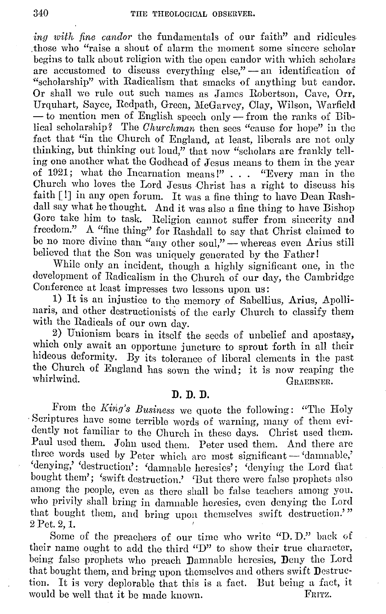*ing with fine candor* the fundamentals of our faith" and ridicules .those who "raise a shout of alarm the moment some sincere scholar begins to talk about religion with the open candor with which scholars are accustomed to discuss everything else,"  $-$  an identification of '"scholarship" with Radicalism that smacks of anything but candor. Or shall we rule out such names as James Robertson, Cave, Orr, Urquhart, Sayce, Redpath, Green, McGarvey, Clay, Wilson, Warfield - to mention men of English speech only -- from the ranks of Biblical scholarship? The *Churchman* then secs "cause for hope" in the fact that "in the Church of England, at least, liberals are not only thinking, but thinking out loud," that now "scholars are frankly telling one another what the Godhead of Jesus means to them in the year of 1921; what the Incarnation means!" . . . "Every man in the Church who loves the Lord Jesus Christ has a right to discuss his faith [ !] in any open forum. It was a fine thing to have Dean Rashdall say what he thought. And it was also a fine thing to have Bishop Gore take him to task. Religion cannot suffer from sincerity and freedom." A "fine thing'' for Rashdall to say that Christ claimed to be no more divine than "any other soul," - whereas even Arius still believed that the Son was uniquely generated by the Father!

While only an incident, though a highly significant one, in the development of Radicalism in the Church of our day, the Cambridge Conference at least impresses two lessons upon us:

1) It is an injustice to the memory of Sabellius, Arius, Apollinaris, and other destructionists of the early Church to classify them with the Radicals of our own day.

2) Unionism bears in itself the seeds of unbelief and apostasy, which only await an opportune juncture to sprout forth in all their hideous deformity. By its tolerance of liberal clements in the past the Church of England has sown the wind; it is now reaping the whirlwind. GRAEBNER.

#### **D. D. D.**

From the *King's Business* we quote the following: "The Holy · Scriptures have some terrible words of warning, many of them evidently not familiar to the Church in these days. Christ used them. Paul used them. John used them. Peter used them. And there arc three words used by Peter which are most significant - 'damnable,' 'denying,' 'destruction': 'damnable heresies'; 'denying the Lord that bought them'; 'swift destruction.' 'But there were false prophets also among the people, even as there shall be false teachers among you. who privily shall bring in damnable heresies, even denying the Lord that bought them, and bring upon themselves swift destruction.'" 2 Pet. 2, 1.

Some of the preachers of our time who write "D. D." back of their name ought to add the third "D" to show their true character, being false prophets who preach Damnable heresies, Deny the Lord that bought them, and bring upon themselves and others swift Destruction. It is very deplorable that this is a fact. But being a fact, it would be well that it be made known. FRITZ.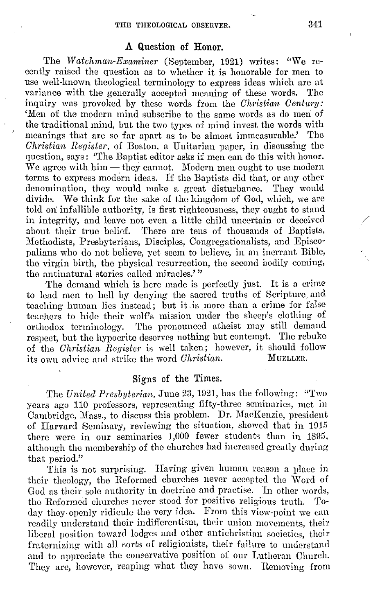#### A Question of Honor.

The *Watchman-Examiner* (September, 1921) writes: "We recently raised the question as to whether it is honorable for men to use well-known theological terminology to express ideas which are at variance with the generally accepted meaning of these words. The inquiry was provoked by these words from the *Christian Century:*  'Men of the modern mind subscribe to the same words as do men of the traditional mind, but the two types of mind invest the words with<br>meanings that are so far apart as to be almost immeasurable.' The meanings that are so far apart as to be almost immeasurable.' *Chris6ian Register,* of Boston, a Unitarian paper, in discussing the question, says: 'The Baptist editor asks if men can do this with honor. We agree with  $him$   $-$  they cannot. Modern men ought to use modern terms to express modern ideas. If the Baptists did that, or any other denomination, they would make a great disturbance. They would divide. We think for the sake of the kingdom of God, which, we are told on: infallible authority, is first righteousness, they ought to stand in integrity, and leave not even a little child uncertain or deceived about their true belief. There are tens of thousands of Baptists, There are tens of thousands of Baptists, Methodists, Presbyterians, Disciples, Congregationalists, and Episcopalians who do not believe, yet seem to believe, in an inerrant Bible, tho virgin birth, the physical resurrection, the second bodily coming, the antinatural stories called miracles.'"

The demand which is here made is perfectly just. It is a crime to lead men to hell by denying the sacred truths of Scripture and teaching human lies instead; but it is more than a crime for false teachers to hide their wolf's mission under the sheep's clothing of orthodox terminology. The pronounced atheist may still demand respect, but the hypocrite deserves nothing but contempt. The rebuke of the *Christian Reyister* is well taken; however, it should follow its own advice and strike the word *Christian*.

#### Signs of the Times.

The *United Presbyterian,* June 23, 1921, has the following: "Two years ago 110 professors, representing fifty-three seminaries, met in Cambridge, Mass., to discuss this problem. Dr. MacKenzie, president of Harvard Seminary, reviewing the situation, showed that in 1015 there were in our seminaries  $1,000$  fewer students than in 1895, although the membership of the churches had increased greatly during that period."

This is not surprising. Having given human reason a place in their theology, the Reformed churches never accepted the Word of God as their sole authority in doctrine and practise. In other words, the Reformed churches never stood for positive religious truth. day they openly ridicule the very idea. From this view-point we can readily understand their indifferentism, their union moyements, their liberal position toward lodges and other antichristian societies, their fraternizing with all sorts of religionists, their failure to understand and to appreciate the conservative position of our Lutheran Church. They are, however, reaping what they have sown. Removing from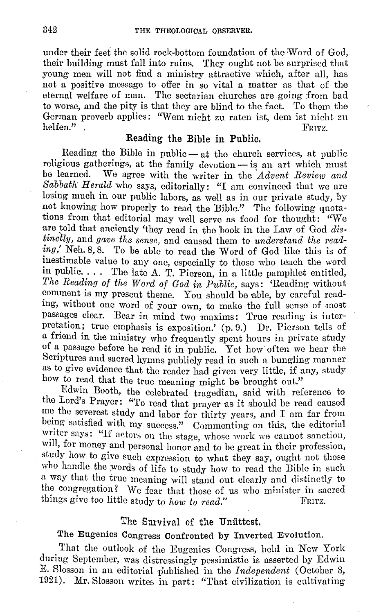under their feet the solid rock-bottom foundation of the Word of God, their building must fall into ruins. They ought not be surprised that young men will not find a ministry attractive which, after all, has not a positive message to offer in so vital a matter as that of the eternal welfare of man. The sectarian churches are going from bad to worse, and the pity is that they are blind to the fact. To them the German proverb applies: "Wem nicht zu raten ist, dem ist nicht zu helfen." helfen." . FRITZ.

#### Reading the Bible in Public.

Reading the Bible in public- at the church services, at public religious gatherings, at the family devotion - is an art which must be learned. We agree with the writer in the *'Advent Review and Sabbath· Herald* who says, editorially: "I am convinced that we are losing much in our public labors, as well as in our private study, by not knowing how properly to read the Bible." The following quotations from that editorial may well serve as food for thought: "We are told that anciently 'they read in the book in the Law of God *distinctly,* and *gave the sense,* and caused them to *understand the reading,'* Neh. 8, 8. To be able to read the Word of God like this is of inestimable value to any one, especially to those who teach the word in public.  $\ldots$  The late A. T. Pierson, in a little pamphlet entitled, *The Reading of the Word of God in Public,* says: 'Reading without comment is my present theme. You should be able, by careful reading, without one word of your own, to make the full sense of most passages clear. Bear in mind two maxims: True reading is interpretation; true emphasis is exposition.' (p. 9.) Dr. Pierson tells of a friend in the ministry who frequently spent hours in private study of a passage before he read it in public. Yet how often we hear the Scriptures and sacred hymns publicly read in such a bungling manner as to give evidence that the reader had given very little, if any, study how to read that the true meaning might be brought out."

Edwin Booth, the celebrated tragedian, said with reference to the Lord's Prayer: "To read that prayer as it should be read caused me the severest study and labor for thirty years, and I am far from being satisfied with my success." Commenting on this, the editorial writer says: "If actors on the stage, whose work we cannot sanction, will, for money and personal honor and to be great in their profession, study how to give such expression to what they say, ought not those who handle the words of life to study how to read the Bible in such a way that the true meaning will stand out clearly and distinctly to the congregation? We fear that those of us who minister in sacred things give too little study to *how to read.*" FRITZ.

#### The Sarvival of the Unfittest.

## The Eugenics Congress Confronted by Inverted Evolution.

That the outlook of the Eugenics Congress, held in New York during September, was distressingly pessimistic is asserted by Edwin E. Slosson in an editorial published in the *Independent* (October 8, 1921). Mr. Slosson writes in part: "That civilization is cultivating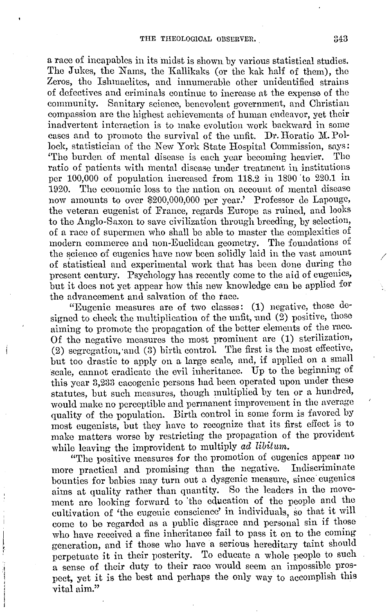a race of incapables in its midst is shown by various statistical studies. The Jukes, the Nams, the Kallikaks (or the kak ha1f of them), the Zeros, tho Ishmaelites, and innumerable other unidentified strains of defectives and criminals continue to increase at the expense of the community. Sanitary science, benevolent government, and Christian compassion are the highest achievements of human endeavor, yet their inadvertent interaction is to make evolution work backward in some cases and to promote the survival of the unfit. Dr. Horatio M. Pollock, statistician of the New York State Hospital Commission, says: 'The burden of mental disease is each year becoming heavier. The ratio of patients with mental disease under treatment in institutions per 100,000 of population increased from 118.2 in 1890 'to 220.1 in 1920. The economic loss to the nation on account of mental disease now amounts to over \$200,000,000 per year.' Professor de Lapouge, the veteran eugenist of France, regards Europe as ruined, and looks to the Anglo-Saxon to save civilization through breeding, by selection, of a race of supermen who shall be able to master the complexities of modern commerce and non-Euclidean geometry. The foundations of the science of eugenics have now been solidly laid in the vast amount of statistical and experimental work that has been done during the present century. Psychology has recently come to the aid of eugenics, but it does not yet appear how this new knowledge can be applied for the advancement and salvation of the face.

"Eugenic measures are of two classes: (1) negative, those designed to check the multiplication of the unfit, and (2) positive, those aiming to promote the propagation of the better elements of the race. Of the negative measures the most prominent are (1) sterilization, (2) segregation, and (3) birth control. The first is the most effective, but too drastic to apply on a large scale, and, if applied on a small scale, cannot eradicate the evil inheritance. Up to the beginning of this year 3,233 cacogenic persons had been operated upon under these statutes, but such measures, though multiplied by ten or a hundred, would make no perceptible and permanent improvement in the average quality of tho population. Birth control in some form is favored by most eugenists, but they have to recognize that its first effect is to make matters worse by restricting the propagation of the provident while leaving the improvident to multiply *ad libitum.* 

"The positive measures for the promotion of eugenics appear no more practical and promising than the negative. Indiscriminate bounties for babies may turn out a dysgenic measure, since eugenics aims at quality rather than quantity. So the leaders in the movement are looking forward to 'the education of the people and the cultivation of 'the eugenic conscience' in individuals, so that it will come to be regarded as a public disgrace and personal sin if those who have received a fine inheritance fail to pass it on to the coming generation, and if those who have a serious hereditary taint should perpetuate it in their posterity. To educate a whole people to such a sense of their duty to their race would seem an impossible prospect, yet it is the best and perhaps the only way to accomplish this vital aim."

/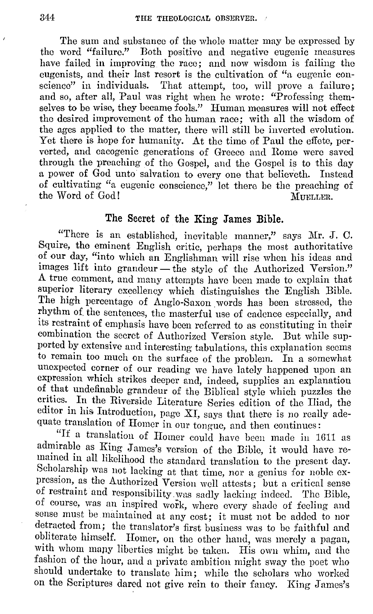The sum and substance of the whole matter may be expressed by the word "failure." Both positive and negative eugenic measures have failed in improving the race; and now wisdom is failing the eugenists, and their last resort is the cultivation of "a eugenic conscience" in individuals. That attempt, too, will prove a failure: and so, after all, Paul was right when he wrote: "Professing themselves to be wise, they became fools." Human measures will not effect tho desired improvement of the human race; with all the wisdom of the ages applied to the matter, there will still be inverted evolution. Yet there is hope for humanity. At the time of Paul the effete, perverted, and cacogenic generations of Greece and Rome were saved through the preaching of the Gospel, and the Gospel is to this day a power of God unto salvation to every one that believeth. Instead of cultivating "a eugenic conscience," let there be the preaching of the Word of  $God!$ 

## The Secret of the King James Bible.

"There is an established, inevitable manner," says Mr. J. 0. Squire, the eminent English critic, perhaps the most authoritative of our day, "into which an Englishman will rise when his ideas and images lift into grandeur - the style of the Authorized Version." A true comment, and many attempts have been made to explain that superior literary excellency which distinguishes the English Bible. The high percentage of Anglo-Saxon words has been stressed, the rhythm of the sentences, the masterful use of cadence especially, and its restraint of emphasis have been referred to as constituting in their combination the secret of Authorized Version style. But while supported by extensive and interesting tabulations, this explanation seems to remain too much on the surface of the problem. In a somewhat unexpected corner of our reading we have lately happened upon an expression which strikes deeper and, indeed, supplies an explanation of that undefinable grandeur of the Biblical style which puzzles the critics. In the Riverside Literature Series edition of the Iliad, the editor in his Introduction, page XI, says that there is no really adequate translation of Homer in our tongue, and then continues:

"If a translation of Homer could have been made in 1611 as admirable as King James's version of the Bible, it would have remained in all likelihood the standard translation' to the present day. Scholarship was not lacking at that time, nor a genius for noble expression, as the Authorized Version well attests; but a critical sense of restraint and responsibility. was sadly lacking indeed. The Bible, of course, was an inspired work, where every shade of feeling and sense must be maintained at any cost; it must not be added to nor detracted from; the translator's first business was to be faithful and obliterate himself. Homer, on the other hand, was merely a pagan, with whom many liberties might be taken. His own whim, and the fashion of the hour, and a private ambition might sway the poet who should undertake to translate him; while the scholars who worked on the Scriptures dared not give rein to their fancy. King James's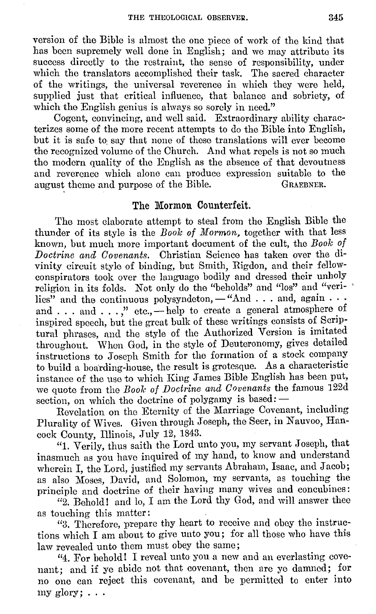version of the Bible is almost the one piece of work of the kind that has been supremely well done in English; and we may attribute its success directly to the restraint, the sense of responsibility, under which the translators accomplished their task. The sacred character of the writings, the universal reverence in which they were held, supplied just that critical influence, that balance and sobriety, of which the English genius is always so sorely in need."

Cogent, convincing, and well said. Extraordinary ability characterizes some of the more recent attempts to do the Bible into English, but it is safe to say that none of these translations will ever become the recognized volume of the Church. And what repels is not so much the modern quality of the English as the absence of that devoutness and reverence which alone can produce expression suitable to the august theme and purpose of the Bible. GRAEBNER. august theme and purpose of the Bible.

### **The Mormon Counterfeit.**

The most elaborate attempt to steal from the English Bible the thunder of its style is the *Boole of Mormon,* together with that less known, hut much more important document of the cult, the *Book of Doctrine and Covenants.* Christian Science has taken over the divinity circuit style of binding, but Smith, Rigdon, and their fellowconspirators took over the language bodily and dressed their unholy religion in its folds. Not only do the "beholds" and "los" and "veri- ' lies" and the continuous polysyndeton,  $-$  "And . . . and, again  $\cdots$ . and  $\dots$  and  $\dots$ ," etc., - help to create a general atmosphere of inspired speech, but the great bulk of these writings consists of Scriptural phrases, and the style of the Authorized Version is imitated throughout. When God, in the style of Deuteronomy, gives detailed instructions to Joseph Smith for the formation of a stock company to build a boarding-house, the result is grotesque. As a characteristic instance of the use to which King James Bible English has been put, we quote from the *Boal,, of Doctrine and Covenants* the famous 122d section, on which the doctrine of polygamy is based: -

Revelation on the Etemity of the Marriage Covenant, including Plurality of Wives. Given through Joseph, the Seer, in Nauvoo, Hancock County, Illinois, July 12, 1843.

"1. Verily, thus saith the Lord unto you, my servant Joseph, that inasmuch as you have inquired of my hand, to know and understand wherein I, the Lord, justified my servants Abraham, Isaac, and Jacob; as also Moses, David, and Solomon, my servants, as touching the principle and doctrine of their having many wives and concubines:

"2. Behold! and lo, I am the Lord thy God, and will answer thee as touching this matter:

"3. Therefore, prepare thy heart to receive and obey the instructions which I am about to give unto you; for all those who have this law revealed unto them must obey the same;

"4. For behold! I reveal unto you a new and an everlasting covenant; and if ye abide not that covenant, then are ye damned; for no one can reject this covenant, and be permitted to enter into my glory;  $\ldots$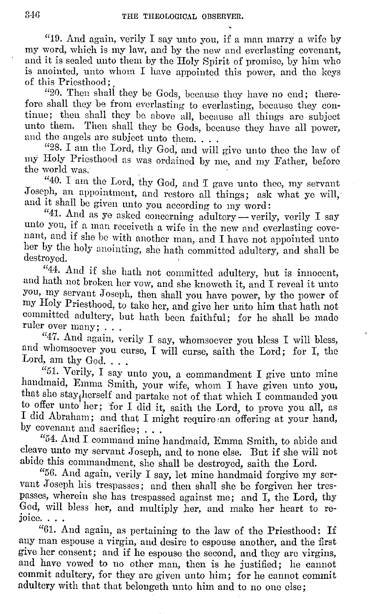"10. And again, verily I say unto you, if a man marry a wife by my word, which is my law, and by the new and everlasting covenant, and it is sealed unto them by the Holy Spirit of promise, by him who is anointed, unto whom I have appointed this power, and the keys of this Priesthood; ,

"20. Then shall they be Gods, because they have no end; therefore shall they be from everlasting to everlasting, because they continue; then shall they be above all, because all things arc subject unto them. Then shall they be Gods, because they have all power, and the angels are subject unto them....

"28. I am the Lord, thy God, and will give unto thee the law of my Holy Priesthood as was ordained by me, and my Father, before the world was.

"40. I am the Lord, thy God, and I gave unto thee, my servant Joseph, an appointment, and restoro all things; ask what ye will,· and it shall be given unto you according to my word:

"41. And as ye asked concerning adultery -- verily, verily I say unto you, if a man receiveth a wife in the new and everlasting covenant, and if she be with another man, and I have not appointed unto her by the holy anointing, she hath committed adultery, and shall be destroyed.

"44. And if she hath not committed adultery, but is innocent, and hath not broken her vow, and she knoweth it, and I reveal it unto you, my servant Joseph, then shall you have power, by the power of my Holy Priesthood, to take her, and give her unto him that hath not committed adultery, but hath been faithful; for he shall be made ruler over many; ...

"47. And again, verily I say, whomsoever you bless I will bless, and whomsoever you curse, I will curse, saith the Lord; for I, the Lord, am thy God. . . .

"51. Verily, I say unto you, a commandment I give unto mine handmaid, Emma Smith, your wife, whom I have given unto you, that she stayjherself and partake not of that which I commanded you to offer unto her; for I did it, saith the Lord, to prove you all, as I did Abraham; and that I might require an offering at your hand, by covenant and sacrifice; ...

"54. And I command mine handmaid, Emma Smith, to abide and cleave unto my servant Joseph, and to none else. But if she will not abide this commandment, she shall be destroyed, saith the Lord.

"56. And again, verily I say, let mine handmaid forgive my servant Joseph his trespasses; and then shall she be forgiven her trespasses, wherein she has trespassed against me; and I, the Lord, thy God, will bless her, and multiply her, and make her heart to re-

"61. And again, as pertaining to the law of the Priesthood: If any man espouse a virgin, and desire to espouse another, and the first give her consent; and if he espouse the second, and they arc virgins, and have vowed to no other man, then is he justified; he cannot commit adultery, for they are given unto him; for he cannot commit adultery with that that belongeth unto him and to no one else;